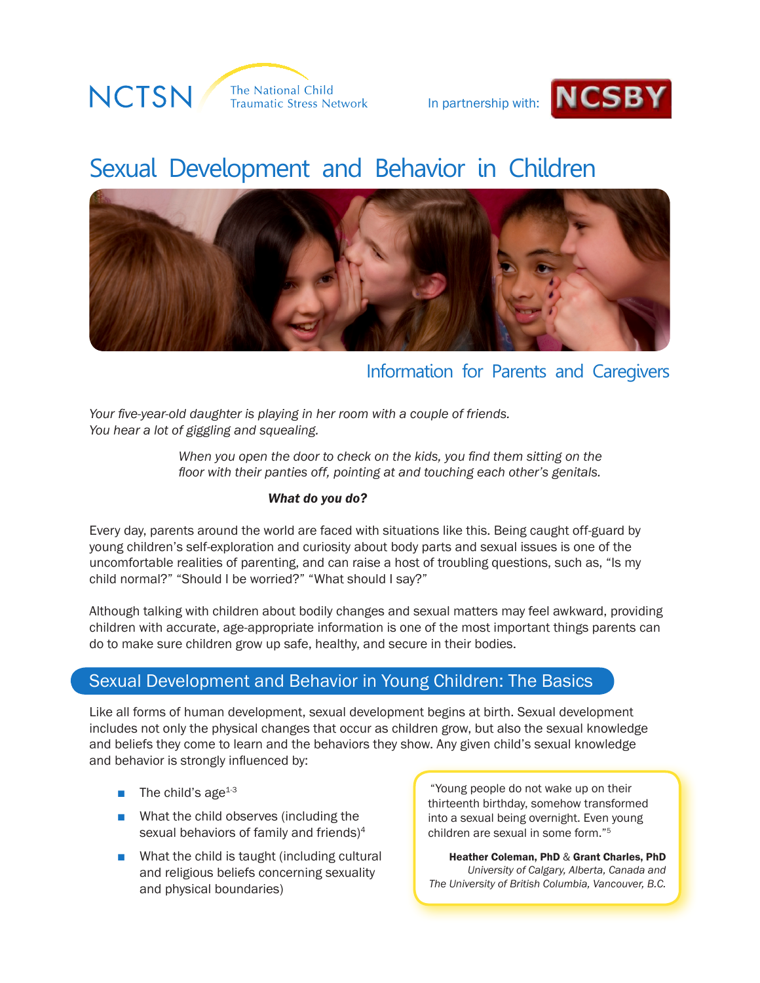



# Sexual Development and Behavior in Children



# Information for Parents and Caregivers

*Your five-year-old daughter is playing in her room with a couple of friends. You hear a lot of giggling and squealing.* 

> *When you open the door to check on the kids, you find them sitting on the floor with their panties off, pointing at and touching each other's genitals.*

## *What do you do?*

Every day, parents around the world are faced with situations like this. Being caught off-guard by young children's self-exploration and curiosity about body parts and sexual issues is one of the uncomfortable realities of parenting, and can raise a host of troubling questions, such as, "Is my child normal?" "Should I be worried?" "What should I say?"

Although talking with children about bodily changes and sexual matters may feel awkward, providing children with accurate, age-appropriate information is one of the most important things parents can do to make sure children grow up safe, healthy, and secure in their bodies.

# Sexual Development and Behavior in Young Children: The Basics

Like all forms of human development, sexual development begins at birth. Sexual development includes not only the physical changes that occur as children grow, but also the sexual knowledge and beliefs they come to learn and the behaviors they show. Any given child's sexual knowledge and behavior is strongly influenced by:

- $\blacksquare$  The child's age<sup>1-3</sup>
- What the child observes (including the sexual behaviors of family and friends)<sup>4</sup>
- What the child is taught (including cultural and religious beliefs concerning sexuality and physical boundaries)

"Young people do not wake up on their thirteenth birthday, somehow transformed into a sexual being overnight. Even young children are sexual in some form."5

Heather Coleman, PhD & Grant Charles, PhD *University of Calgary, Alberta, Canada and The University of British Columbia, Vancouver, B.C.*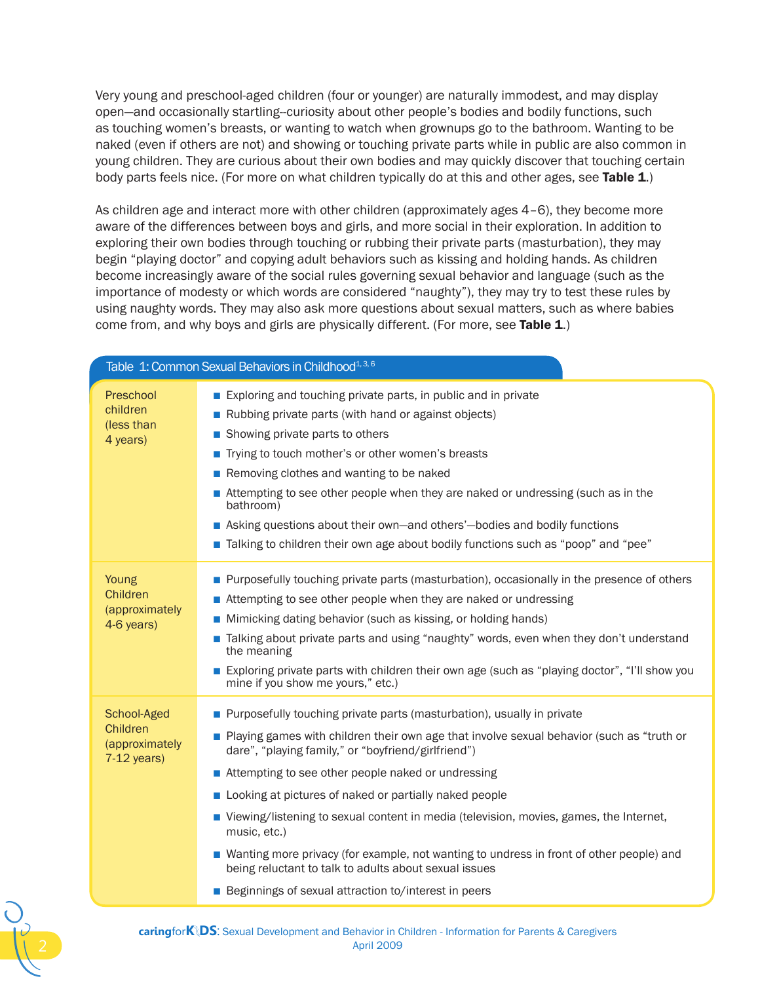Very young and preschool-aged children (four or younger) are naturally immodest, and may display open—and occasionally startling--curiosity about other people's bodies and bodily functions, such as touching women's breasts, or wanting to watch when grownups go to the bathroom. Wanting to be naked (even if others are not) and showing or touching private parts while in public are also common in young children. They are curious about their own bodies and may quickly discover that touching certain body parts feels nice. (For more on what children typically do at this and other ages, see Table 1.)

As children age and interact more with other children (approximately ages 4–6), they become more aware of the differences between boys and girls, and more social in their exploration. In addition to exploring their own bodies through touching or rubbing their private parts (masturbation), they may begin "playing doctor" and copying adult behaviors such as kissing and holding hands. As children become increasingly aware of the social rules governing sexual behavior and language (such as the importance of modesty or which words are considered "naughty"), they may try to test these rules by using naughty words. They may also ask more questions about sexual matters, such as where babies come from, and why boys and girls are physically different. (For more, see Table 1.)

| Table 1: Common Sexual Behaviors in Childhood <sup>1, 3, 6</sup> |                                                                                                                                                                                                                                                                                                                                                                                                                                                                                                                                                                                                                                                                            |  |
|------------------------------------------------------------------|----------------------------------------------------------------------------------------------------------------------------------------------------------------------------------------------------------------------------------------------------------------------------------------------------------------------------------------------------------------------------------------------------------------------------------------------------------------------------------------------------------------------------------------------------------------------------------------------------------------------------------------------------------------------------|--|
| Preschool<br>children<br>(less than<br>4 years)                  | Exploring and touching private parts, in public and in private<br>Rubbing private parts (with hand or against objects)<br>■ Showing private parts to others<br>■ Trying to touch mother's or other women's breasts<br>Removing clothes and wanting to be naked<br>Attempting to see other people when they are naked or undressing (such as in the<br>bathroom)<br>Asking questions about their own-and others'-bodies and bodily functions<br>■ Talking to children their own age about bodily functions such as "poop" and "pee"                                                                                                                                         |  |
| Young<br>Children<br>(approximately<br>4-6 years)                | Purposefully touching private parts (masturbation), occasionally in the presence of others<br>Attempting to see other people when they are naked or undressing<br>Mimicking dating behavior (such as kissing, or holding hands)<br>Talking about private parts and using "naughty" words, even when they don't understand<br>the meaning<br>Exploring private parts with children their own age (such as "playing doctor", "I'll show you<br>mine if you show me yours," etc.)                                                                                                                                                                                             |  |
| School-Aged<br>Children<br>(approximately<br>$7-12$ years)       | Purposefully touching private parts (masturbation), usually in private<br>■ Playing games with children their own age that involve sexual behavior (such as "truth or<br>dare", "playing family," or "boyfriend/girlfriend")<br>■ Attempting to see other people naked or undressing<br>Looking at pictures of naked or partially naked people<br>■ Viewing/listening to sexual content in media (television, movies, games, the Internet,<br>music, etc.)<br>■ Wanting more privacy (for example, not wanting to undress in front of other people) and<br>being reluctant to talk to adults about sexual issues<br>■ Beginnings of sexual attraction to/interest in peers |  |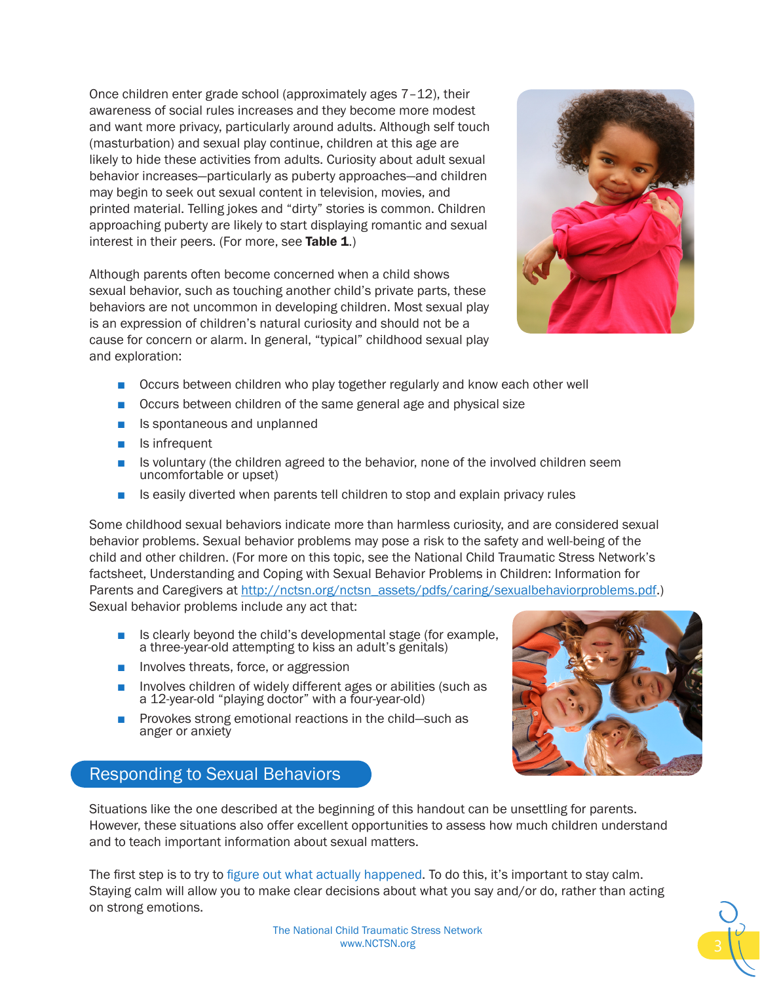Once children enter grade school (approximately ages 7–12), their awareness of social rules increases and they become more modest and want more privacy, particularly around adults. Although self touch (masturbation) and sexual play continue, children at this age are likely to hide these activities from adults. Curiosity about adult sexual behavior increases—particularly as puberty approaches—and children may begin to seek out sexual content in television, movies, and printed material. Telling jokes and "dirty" stories is common. Children approaching puberty are likely to start displaying romantic and sexual interest in their peers. (For more, see Table  $1$ .)

Although parents often become concerned when a child shows sexual behavior, such as touching another child's private parts, these behaviors are not uncommon in developing children. Most sexual play is an expression of children's natural curiosity and should not be a cause for concern or alarm. In general, "typical" childhood sexual play and exploration:



- Occurs between children who play together regularly and know each other well
- Occurs between children of the same general age and physical size
- Is spontaneous and unplanned
- Is infrequent
- Is voluntary (the children agreed to the behavior, none of the involved children seem uncomfortable or upset)
- Is easily diverted when parents tell children to stop and explain privacy rules

Some childhood sexual behaviors indicate more than harmless curiosity, and are considered sexual behavior problems. Sexual behavior problems may pose a risk to the safety and well-being of the child and other children. (For more on this topic, see the National Child Traumatic Stress Network's factsheet, Understanding and Coping with Sexual Behavior Problems in Children: Information for Parents and Caregivers at [http://nctsn.org/nctsn\\_assets/pdfs/caring/sexualbehaviorproblems.pdf](http://nctsn.org/nctsn_assets/pdfs/caring/sexualbehaviorproblems.pdf).) Sexual behavior problems include any act that:

- Is clearly beyond the child's developmental stage (for example, a three-year-old attempting to kiss an adult's genitals)
- Involves threats, force, or aggression
- Involves children of widely different ages or abilities (such as a 12-year-old "playing doctor" with a four-year-old)
- Provokes strong emotional reactions in the child—such as anger or anxiety

# Responding to Sexual Behaviors

Situations like the one described at the beginning of this handout can be unsettling for parents. However, these situations also offer excellent opportunities to assess how much children understand and to teach important information about sexual matters.

The first step is to try to figure out what actually happened. To do this, it's important to stay calm. Staying calm will allow you to make clear decisions about what you say and/or do, rather than acting on strong emotions.



The National Child Traumatic Stress Network www.NCTSN.org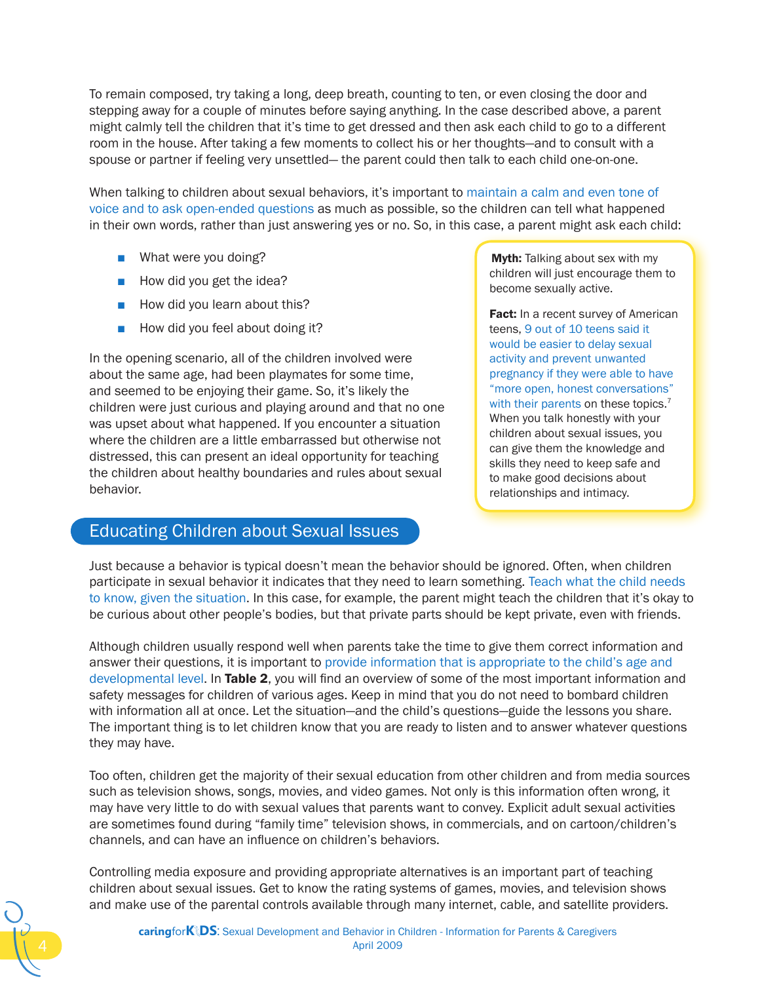To remain composed, try taking a long, deep breath, counting to ten, or even closing the door and stepping away for a couple of minutes before saying anything. In the case described above, a parent might calmly tell the children that it's time to get dressed and then ask each child to go to a different room in the house. After taking a few moments to collect his or her thoughts—and to consult with a spouse or partner if feeling very unsettled— the parent could then talk to each child one-on-one.

When talking to children about sexual behaviors, it's important to maintain a calm and even tone of voice and to ask open-ended questions as much as possible, so the children can tell what happened in their own words, rather than just answering yes or no. So, in this case, a parent might ask each child:

- What were you doing?
- How did you get the idea?
- How did you learn about this?
- How did you feel about doing it?

In the opening scenario, all of the children involved were about the same age, had been playmates for some time, and seemed to be enjoying their game. So, it's likely the children were just curious and playing around and that no one was upset about what happened. If you encounter a situation where the children are a little embarrassed but otherwise not distressed, this can present an ideal opportunity for teaching the children about healthy boundaries and rules about sexual behavior.

# Educating Children about Sexual Issues

**Myth:** Talking about sex with my children will just encourage them to become sexually active.

Fact: In a recent survey of American teens, 9 out of 10 teens said it would be easier to delay sexual activity and prevent unwanted pregnancy if they were able to have "more open, honest conversations" with their parents on these topics.<sup>7</sup> When you talk honestly with your children about sexual issues, you can give them the knowledge and skills they need to keep safe and to make good decisions about relationships and intimacy.

Just because a behavior is typical doesn't mean the behavior should be ignored. Often, when children participate in sexual behavior it indicates that they need to learn something. Teach what the child needs to know, given the situation. In this case, for example, the parent might teach the children that it's okay to be curious about other people's bodies, but that private parts should be kept private, even with friends.

Although children usually respond well when parents take the time to give them correct information and answer their questions, it is important to provide information that is appropriate to the child's age and developmental level. In Table 2, you will find an overview of some of the most important information and safety messages for children of various ages. Keep in mind that you do not need to bombard children with information all at once. Let the situation—and the child's questions—guide the lessons you share. The important thing is to let children know that you are ready to listen and to answer whatever questions they may have.

Too often, children get the majority of their sexual education from other children and from media sources such as television shows, songs, movies, and video games. Not only is this information often wrong, it may have very little to do with sexual values that parents want to convey. Explicit adult sexual activities are sometimes found during "family time" television shows, in commercials, and on cartoon/children's channels, and can have an influence on children's behaviors.

Controlling media exposure and providing appropriate alternatives is an important part of teaching children about sexual issues. Get to know the rating systems of games, movies, and television shows and make use of the parental controls available through many internet, cable, and satellite providers.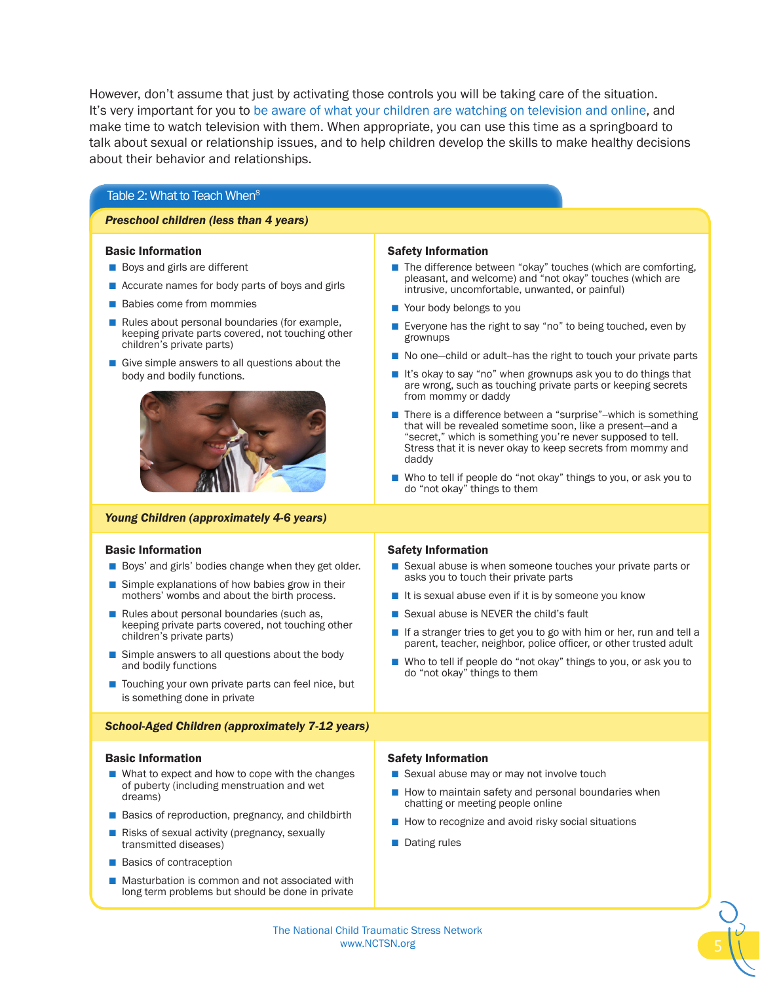However, don't assume that just by activating those controls you will be taking care of the situation. It's very important for you to be aware of what your children are watching on television and online, and make time to watch television with them. When appropriate, you can use this time as a springboard to talk about sexual or relationship issues, and to help children develop the skills to make healthy decisions about their behavior and relationships.

### Table 2: What to Teach When<sup>8</sup>

### *Preschool children (less than 4 years)*

#### Basic Information

- Boys and girls are different
- Accurate names for body parts of boys and girls
- Babies come from mommies
- Rules about personal boundaries (for example, keeping private parts covered, not touching other children's private parts)
- Give simple answers to all questions about the body and bodily functions.



### *Young Children (approximately 4-6 years)*

### Basic Information

- Boys' and girls' bodies change when they get older.
- Simple explanations of how babies grow in their mothers' wombs and about the birth process.
- Rules about personal boundaries (such as, keeping private parts covered, not touching other children's private parts)
- Simple answers to all questions about the body and bodily functions
- Touching your own private parts can feel nice, but is something done in private

### *School-Aged Children (approximately 7-12 years)*

#### Basic Information

- What to expect and how to cope with the changes of puberty (including menstruation and wet dreams)
- Basics of reproduction, pregnancy, and childbirth
- Risks of sexual activity (pregnancy, sexually transmitted diseases)
- Basics of contraception
- Masturbation is common and not associated with long term problems but should be done in private

#### Safety Information

- The difference between "okay" touches (which are comforting, pleasant, and welcome) and "not okay" touches (which are intrusive, uncomfortable, unwanted, or painful)
- Your body belongs to you
- Everyone has the right to say "no" to being touched, even by grownups
- No one-child or adult-has the right to touch your private parts
- It's okay to say "no" when grownups ask you to do things that are wrong, such as touching private parts or keeping secrets from mommy or daddy
- There is a difference between a "surprise"--which is something that will be revealed sometime soon, like a present—and a "secret," which is something you're never supposed to tell. Stress that it is never okay to keep secrets from mommy and daddy
- Who to tell if people do "not okay" things to you, or ask you to do "not okay" things to them

#### Safety Information

- Sexual abuse is when someone touches your private parts or asks you to touch their private parts
- It is sexual abuse even if it is by someone you know
- Sexual abuse is NEVER the child's fault
- If a stranger tries to get you to go with him or her, run and tell a parent, teacher, neighbor, police officer, or other trusted adult
- Who to tell if people do "not okay" things to you, or ask you to do "not okay" things to them

#### Safety Information

- Sexual abuse may or may not involve touch
- How to maintain safety and personal boundaries when chatting or meeting people online
- How to recognize and avoid risky social situations
- Dating rules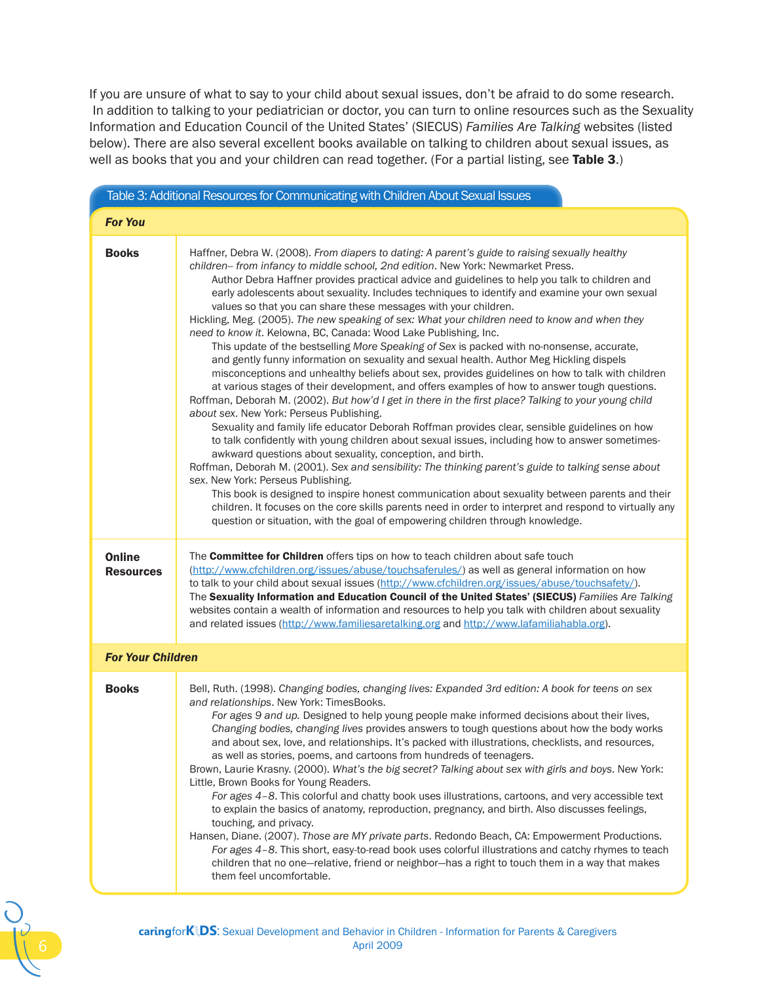If you are unsure of what to say to your child about sexual issues, don't be afraid to do some research. In addition to talking to your pediatrician or doctor, you can turn to online resources such as the Sexuality Information and Education Council of the United States' (SIECUS) *Families Are Talking* websites (listed below). There are also several excellent books available on talking to children about sexual issues, as well as books that you and your children can read together. (For a partial listing, see Table 3.)

| Table 3: Additional Resources for Communicating with Children About Sexual Issues |                                                                                                                                                                                                                                                                                                                                                                                                                                                                                                                                                                                                                                                                                                                                                                                                                                                                                                                                                                                                                                                                                                                                                                                                                                                                                                                                                                                                                                                                                                                                                                                                                                                                                                                                                                                                                                                                                                 |
|-----------------------------------------------------------------------------------|-------------------------------------------------------------------------------------------------------------------------------------------------------------------------------------------------------------------------------------------------------------------------------------------------------------------------------------------------------------------------------------------------------------------------------------------------------------------------------------------------------------------------------------------------------------------------------------------------------------------------------------------------------------------------------------------------------------------------------------------------------------------------------------------------------------------------------------------------------------------------------------------------------------------------------------------------------------------------------------------------------------------------------------------------------------------------------------------------------------------------------------------------------------------------------------------------------------------------------------------------------------------------------------------------------------------------------------------------------------------------------------------------------------------------------------------------------------------------------------------------------------------------------------------------------------------------------------------------------------------------------------------------------------------------------------------------------------------------------------------------------------------------------------------------------------------------------------------------------------------------------------------------|
| <b>For You</b>                                                                    |                                                                                                                                                                                                                                                                                                                                                                                                                                                                                                                                                                                                                                                                                                                                                                                                                                                                                                                                                                                                                                                                                                                                                                                                                                                                                                                                                                                                                                                                                                                                                                                                                                                                                                                                                                                                                                                                                                 |
| <b>Books</b>                                                                      | Haffner, Debra W. (2008). From diapers to dating: A parent's guide to raising sexually healthy<br>children-- from infancy to middle school, 2nd edition. New York: Newmarket Press.<br>Author Debra Haffner provides practical advice and guidelines to help you talk to children and<br>early adolescents about sexuality. Includes techniques to identify and examine your own sexual<br>values so that you can share these messages with your children.<br>Hickling, Meg. (2005). The new speaking of sex: What your children need to know and when they<br>need to know it. Kelowna, BC, Canada: Wood Lake Publishing, Inc.<br>This update of the bestselling More Speaking of Sex is packed with no-nonsense, accurate,<br>and gently funny information on sexuality and sexual health. Author Meg Hickling dispels<br>misconceptions and unhealthy beliefs about sex, provides guidelines on how to talk with children<br>at various stages of their development, and offers examples of how to answer tough questions.<br>Roffman, Deborah M. (2002). But how'd I get in there in the first place? Talking to your young child<br>about sex. New York: Perseus Publishing.<br>Sexuality and family life educator Deborah Roffman provides clear, sensible guidelines on how<br>to talk confidently with young children about sexual issues, including how to answer sometimes-<br>awkward questions about sexuality, conception, and birth.<br>Roffman, Deborah M. (2001). Sex and sensibility: The thinking parent's guide to talking sense about<br>sex. New York: Perseus Publishing.<br>This book is designed to inspire honest communication about sexuality between parents and their<br>children. It focuses on the core skills parents need in order to interpret and respond to virtually any<br>question or situation, with the goal of empowering children through knowledge. |
| <b>Online</b><br><b>Resources</b>                                                 | The <b>Committee for Children</b> offers tips on how to teach children about safe touch<br>(http://www.cfchildren.org/issues/abuse/touchsaferules/) as well as general information on how<br>to talk to your child about sexual issues (http://www.cfchildren.org/issues/abuse/touchsafety/).<br>The Sexuality Information and Education Council of the United States' (SIECUS) Families Are Talking<br>websites contain a wealth of information and resources to help you talk with children about sexuality<br>and related issues (http://www.familiesaretalking.org and http://www.lafamiliahabla.org).                                                                                                                                                                                                                                                                                                                                                                                                                                                                                                                                                                                                                                                                                                                                                                                                                                                                                                                                                                                                                                                                                                                                                                                                                                                                                      |
| <b>For Your Children</b>                                                          |                                                                                                                                                                                                                                                                                                                                                                                                                                                                                                                                                                                                                                                                                                                                                                                                                                                                                                                                                                                                                                                                                                                                                                                                                                                                                                                                                                                                                                                                                                                                                                                                                                                                                                                                                                                                                                                                                                 |
| <b>Books</b>                                                                      | Bell, Ruth. (1998). Changing bodies, changing lives: Expanded 3rd edition: A book for teens on sex<br>and relationships. New York: TimesBooks.<br>For ages 9 and up. Designed to help young people make informed decisions about their lives,<br>Changing bodies, changing lives provides answers to tough questions about how the body works<br>and about sex, love, and relationships. It's packed with illustrations, checklists, and resources,<br>as well as stories, poems, and cartoons from hundreds of teenagers.<br>Brown, Laurie Krasny. (2000). What's the big secret? Talking about sex with girls and boys. New York:<br>Little, Brown Books for Young Readers.<br>For ages 4-8. This colorful and chatty book uses illustrations, cartoons, and very accessible text<br>to explain the basics of anatomy, reproduction, pregnancy, and birth. Also discusses feelings,<br>touching, and privacy.<br>Hansen, Diane. (2007). Those are MY private parts. Redondo Beach, CA: Empowerment Productions.<br>For ages 4-8. This short, easy-to-read book uses colorful illustrations and catchy rhymes to teach<br>children that no one-relative, friend or neighbor-has a right to touch them in a way that makes<br>them feel uncomfortable.                                                                                                                                                                                                                                                                                                                                                                                                                                                                                                                                                                                                                                          |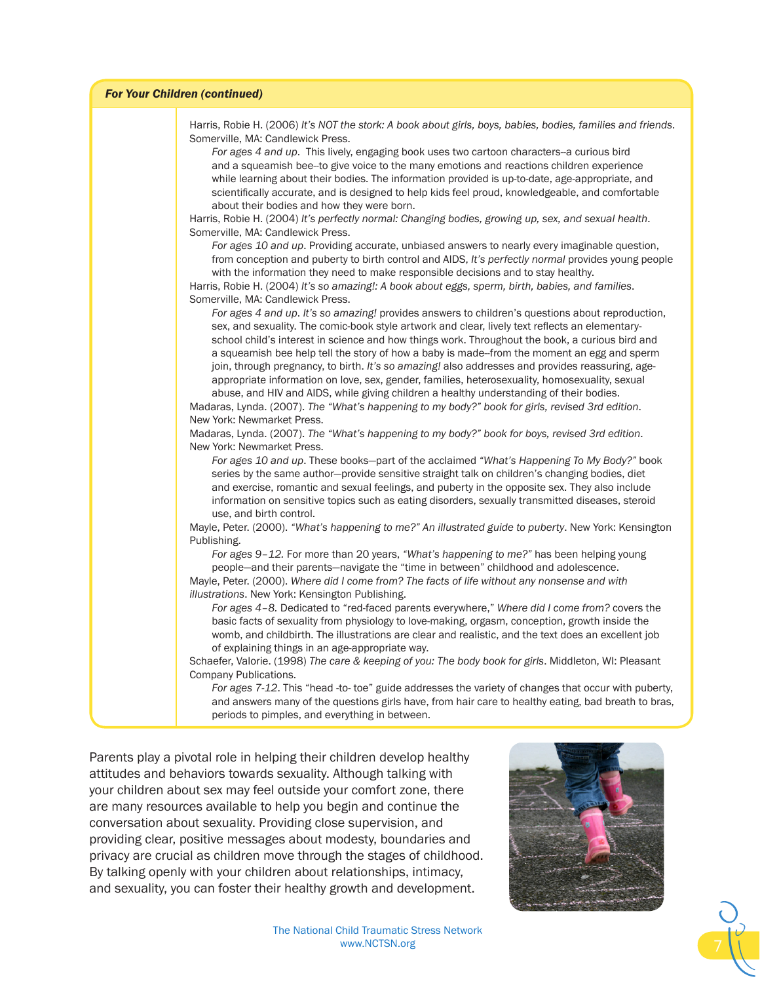#### *For Your Children (continued)*

Harris, Robie H. (2006) *It's NOT the stork: A book about girls, boys, babies, bodies, families and friends*. Somerville, MA: Candlewick Press. *For ages 4 and up*. This lively, engaging book uses two cartoon characters--a curious bird and a squeamish bee--to give voice to the many emotions and reactions children experience while learning about their bodies. The information provided is up-to-date, age-appropriate, and scientifically accurate, and is designed to help kids feel proud, knowledgeable, and comfortable about their bodies and how they were born. Harris, Robie H. (2004) *It's perfectly normal: Changing bodies, growing up, sex, and sexual health*. Somerville, MA: Candlewick Press. *For ages 10 and up*. Providing accurate, unbiased answers to nearly every imaginable question, from conception and puberty to birth control and AIDS, *It's perfectly normal* provides young people with the information they need to make responsible decisions and to stay healthy. Harris, Robie H. (2004) *It's so amazing!: A book about eggs, sperm, birth, babies, and families*. Somerville, MA: Candlewick Press. *For ages 4 and up*. *It's so amazing!* provides answers to children's questions about reproduction, sex, and sexuality. The comic-book style artwork and clear, lively text reflects an elementaryschool child's interest in science and how things work. Throughout the book, a curious bird and a squeamish bee help tell the story of how a baby is made--from the moment an egg and sperm join, through pregnancy, to birth. *It's so amazing!* also addresses and provides reassuring, ageappropriate information on love, sex, gender, families, heterosexuality, homosexuality, sexual abuse, and HIV and AIDS, while giving children a healthy understanding of their bodies. Madaras, Lynda. (2007). *The "What's happening to my body?" book for girls, revised 3rd edition*. New York: Newmarket Press. Madaras, Lynda. (2007). *The "What's happening to my body?" book for boys, revised 3rd edition*. New York: Newmarket Press. *For ages 10 and up*. These books—part of the acclaimed *"What's Happening To My Body?"* book series by the same author—provide sensitive straight talk on children's changing bodies, diet and exercise, romantic and sexual feelings, and puberty in the opposite sex. They also include information on sensitive topics such as eating disorders, sexually transmitted diseases, steroid use, and birth control. Mayle, Peter. (2000). *"What's happening to me?" An illustrated guide to puberty*. New York: Kensington Publishing. *For ages 9–12.* For more than 20 years, *"What's happening to me?"* has been helping young people—and their parents—navigate the "time in between" childhood and adolescence. Mayle, Peter. (2000). *Where did I come from? The facts of life without any nonsense and with illustrations*. New York: Kensington Publishing. *For ages 4–8.* Dedicated to "red-faced parents everywhere," *Where did I come from?* covers the basic facts of sexuality from physiology to love-making, orgasm, conception, growth inside the womb, and childbirth. The illustrations are clear and realistic, and the text does an excellent job of explaining things in an age-appropriate way. Schaefer, Valorie. (1998) *The care & keeping of you: The body book for girls*. Middleton, WI: Pleasant Company Publications. *For ages 7-12*. This "head -to- toe" guide addresses the variety of changes that occur with puberty, and answers many of the questions girls have, from hair care to healthy eating, bad breath to bras,

Parents play a pivotal role in helping their children develop healthy attitudes and behaviors towards sexuality. Although talking with your children about sex may feel outside your comfort zone, there are many resources available to help you begin and continue the conversation about sexuality. Providing close supervision, and providing clear, positive messages about modesty, boundaries and privacy are crucial as children move through the stages of childhood. By talking openly with your children about relationships, intimacy, and sexuality, you can foster their healthy growth and development.

periods to pimples, and everything in between.



The National Child Traumatic Stress Network www.NCTSN.org